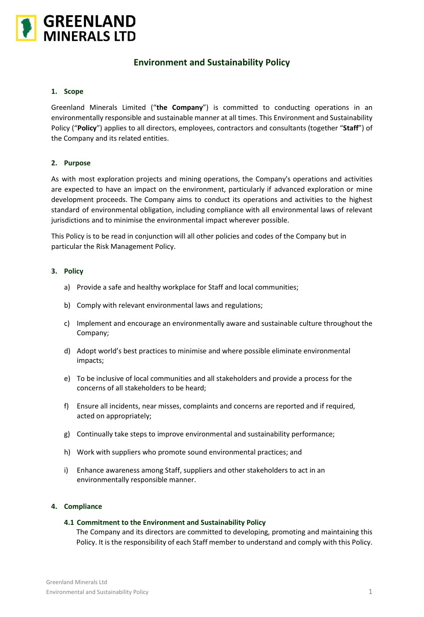

# **Environment and Sustainability Policy**

## **1. Scope**

Greenland Minerals Limited ("**the Company**") is committed to conducting operations in an environmentally responsible and sustainable manner at all times. This Environment and Sustainability Policy ("**Policy**") applies to all directors, employees, contractors and consultants (together "**Staff**") of the Company and its related entities.

## **2. Purpose**

As with most exploration projects and mining operations, the Company's operations and activities are expected to have an impact on the environment, particularly if advanced exploration or mine development proceeds. The Company aims to conduct its operations and activities to the highest standard of environmental obligation, including compliance with all environmental laws of relevant jurisdictions and to minimise the environmental impact wherever possible.

This Policy is to be read in conjunction will all other policies and codes of the Company but in particular the Risk Management Policy.

#### **3. Policy**

- a) Provide a safe and healthy workplace for Staff and local communities;
- b) Comply with relevant environmental laws and regulations;
- c) Implement and encourage an environmentally aware and sustainable culture throughout the Company;
- d) Adopt world's best practices to minimise and where possible eliminate environmental impacts;
- e) To be inclusive of local communities and all stakeholders and provide a process for the concerns of all stakeholders to be heard;
- f) Ensure all incidents, near misses, complaints and concerns are reported and if required, acted on appropriately;
- g) Continually take steps to improve environmental and sustainability performance;
- h) Work with suppliers who promote sound environmental practices; and
- i) Enhance awareness among Staff, suppliers and other stakeholders to act in an environmentally responsible manner.

#### **4. Compliance**

#### **4.1 Commitment to the Environment and Sustainability Policy**

The Company and its directors are committed to developing, promoting and maintaining this Policy. It is the responsibility of each Staff member to understand and comply with this Policy.